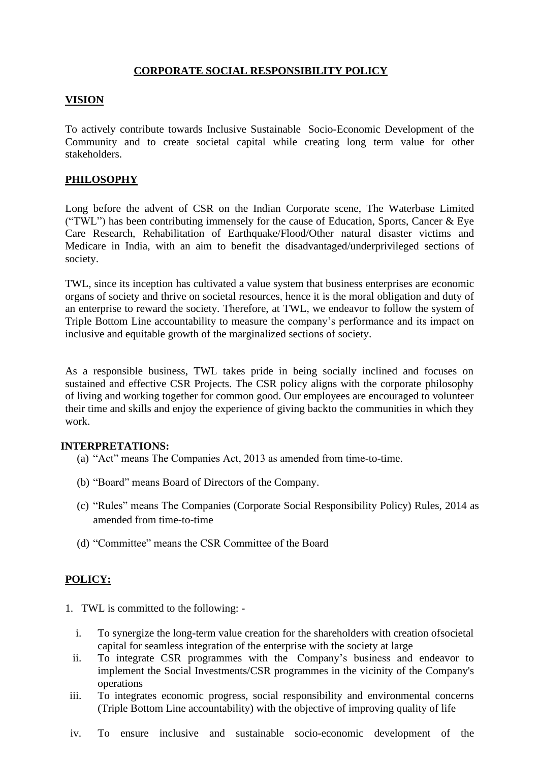# **CORPORATE SOCIAL RESPONSIBILITY POLICY**

### **VISION**

To actively contribute towards Inclusive Sustainable Socio-Economic Development of the Community and to create societal capital while creating long term value for other stakeholders.

# **PHILOSOPHY**

Long before the advent of CSR on the Indian Corporate scene, The Waterbase Limited ("TWL") has been contributing immensely for the cause of Education, Sports, Cancer & Eye Care Research, Rehabilitation of Earthquake/Flood/Other natural disaster victims and Medicare in India, with an aim to benefit the disadvantaged/underprivileged sections of society.

TWL, since its inception has cultivated a value system that business enterprises are economic organs of society and thrive on societal resources, hence it is the moral obligation and duty of an enterprise to reward the society. Therefore, at TWL, we endeavor to follow the system of Triple Bottom Line accountability to measure the company's performance and its impact on inclusive and equitable growth of the marginalized sections of society.

As a responsible business, TWL takes pride in being socially inclined and focuses on sustained and effective CSR Projects. The CSR policy aligns with the corporate philosophy of living and working together for common good. Our employees are encouraged to volunteer their time and skills and enjoy the experience of giving backto the communities in which they work.

#### **INTERPRETATIONS:**

- (a) "Act" means The Companies Act, 2013 as amended from time-to-time.
- (b) "Board" means Board of Directors of the Company.
- (c) "Rules" means The Companies (Corporate Social Responsibility Policy) Rules, 2014 as amended from time-to-time
- (d) "Committee" means the CSR Committee of the Board

# **POLICY:**

- 1. TWL is committed to the following:
	- i. To synergize the long-term value creation for the shareholders with creation ofsocietal capital for seamless integration of the enterprise with the society at large
	- ii. To integrate CSR programmes with the Company's business and endeavor to implement the Social Investments/CSR programmes in the vicinity of the Company's operations
- iii. To integrates economic progress, social responsibility and environmental concerns (Triple Bottom Line accountability) with the objective of improving quality of life
- iv. To ensure inclusive and sustainable socio-economic development of the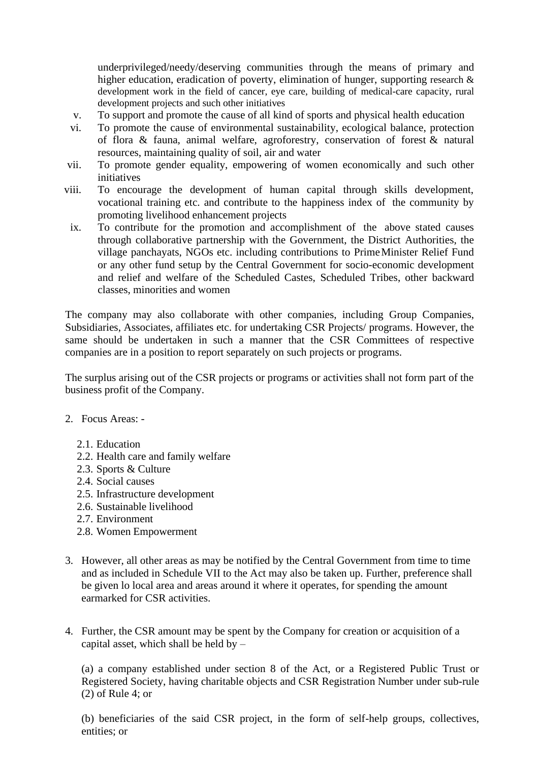underprivileged/needy/deserving communities through the means of primary and higher education, eradication of poverty, elimination of hunger, supporting research & development work in the field of cancer, eye care, building of medical-care capacity, rural development projects and such other initiatives

- v. To support and promote the cause of all kind of sports and physical health education
- vi. To promote the cause of environmental sustainability, ecological balance, protection of flora & fauna, animal welfare, agroforestry, conservation of forest & natural resources, maintaining quality of soil, air and water
- vii. To promote gender equality, empowering of women economically and such other initiatives
- viii. To encourage the development of human capital through skills development, vocational training etc. and contribute to the happiness index of the community by promoting livelihood enhancement projects
- ix. To contribute for the promotion and accomplishment of the above stated causes through collaborative partnership with the Government, the District Authorities, the village panchayats, NGOs etc. including contributions to PrimeMinister Relief Fund or any other fund setup by the Central Government for socio-economic development and relief and welfare of the Scheduled Castes, Scheduled Tribes, other backward classes, minorities and women

The company may also collaborate with other companies, including Group Companies, Subsidiaries, Associates, affiliates etc. for undertaking CSR Projects/ programs. However, the same should be undertaken in such a manner that the CSR Committees of respective companies are in a position to report separately on such projects or programs.

The surplus arising out of the CSR projects or programs or activities shall not form part of the business profit of the Company.

- 2. Focus Areas:
	- 2.1. Education
	- 2.2. Health care and family welfare
	- 2.3. Sports & Culture
	- 2.4. Social causes
	- 2.5. Infrastructure development
	- 2.6. Sustainable livelihood
	- 2.7. Environment
	- 2.8. Women Empowerment
- 3. However, all other areas as may be notified by the Central Government from time to time and as included in Schedule VII to the Act may also be taken up. Further, preference shall be given lo local area and areas around it where it operates, for spending the amount earmarked for CSR activities.
- 4. Further, the CSR amount may be spent by the Company for creation or acquisition of a capital asset, which shall be held by –

(a) a company established under section 8 of the Act, or a Registered Public Trust or Registered Society, having charitable objects and CSR Registration Number under sub-rule (2) of Rule 4; or

(b) beneficiaries of the said CSR project, in the form of self-help groups, collectives, entities; or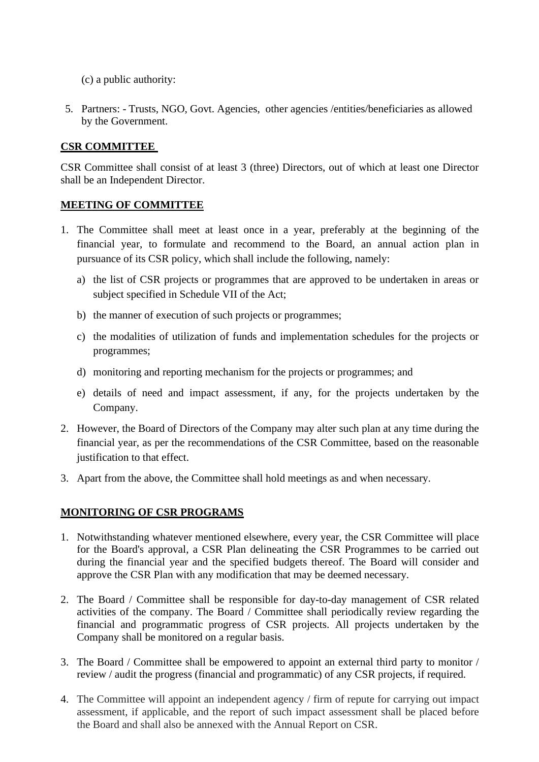- (c) a public authority:
- 5. Partners: Trusts, NGO, Govt. Agencies, other agencies /entities/beneficiaries as allowed by the Government.

### **CSR COMMITTEE**

CSR Committee shall consist of at least 3 (three) Directors, out of which at least one Director shall be an Independent Director.

### **MEETING OF COMMITTEE**

- 1. The Committee shall meet at least once in a year, preferably at the beginning of the financial year, to formulate and recommend to the Board, an annual action plan in pursuance of its CSR policy, which shall include the following, namely:
	- a) the list of CSR projects or programmes that are approved to be undertaken in areas or subject specified in Schedule VII of the Act;
	- b) the manner of execution of such projects or programmes;
	- c) the modalities of utilization of funds and implementation schedules for the projects or programmes;
	- d) monitoring and reporting mechanism for the projects or programmes; and
	- e) details of need and impact assessment, if any, for the projects undertaken by the Company.
- 2. However, the Board of Directors of the Company may alter such plan at any time during the financial year, as per the recommendations of the CSR Committee, based on the reasonable justification to that effect.
- 3. Apart from the above, the Committee shall hold meetings as and when necessary.

### **MONITORING OF CSR PROGRAMS**

- 1. Notwithstanding whatever mentioned elsewhere, every year, the CSR Committee will place for the Board's approval, a CSR Plan delineating the CSR Programmes to be carried out during the financial year and the specified budgets thereof. The Board will consider and approve the CSR Plan with any modification that may be deemed necessary.
- 2. The Board / Committee shall be responsible for day-to-day management of CSR related activities of the company. The Board / Committee shall periodically review regarding the financial and programmatic progress of CSR projects. All projects undertaken by the Company shall be monitored on a regular basis.
- 3. The Board / Committee shall be empowered to appoint an external third party to monitor / review / audit the progress (financial and programmatic) of any CSR projects, if required.
- 4. The Committee will appoint an independent agency / firm of repute for carrying out impact assessment, if applicable, and the report of such impact assessment shall be placed before the Board and shall also be annexed with the Annual Report on CSR.